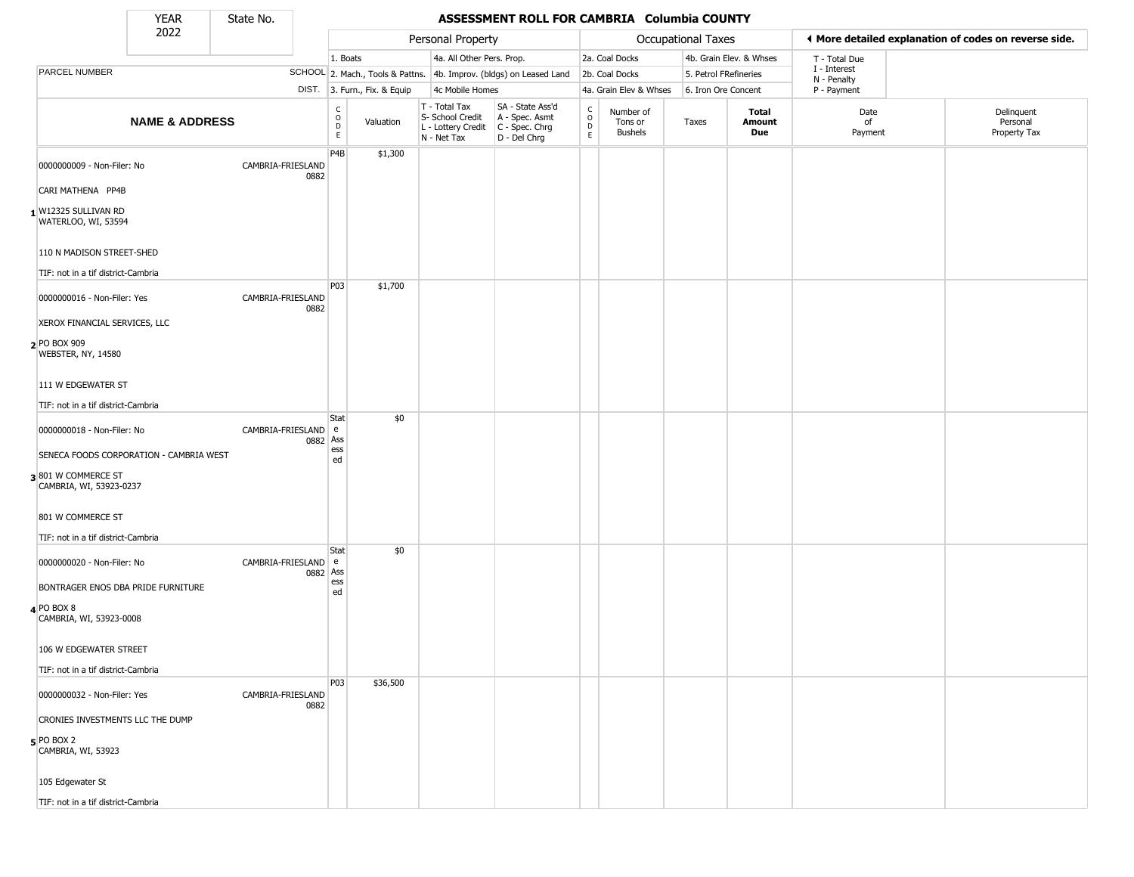State No.

Г

#### **YEAR** State No. **ASSESSMENT ROLL FOR CAMBRIA Columbia COUNTY**

|                                                                        | 2022                                    |                               |                                            |                              | Personal Property                                                      |                                                                      | Occupational Taxes                              |                                        | ◀ More detailed explanation of codes on reverse side. |                         |                             |                                        |
|------------------------------------------------------------------------|-----------------------------------------|-------------------------------|--------------------------------------------|------------------------------|------------------------------------------------------------------------|----------------------------------------------------------------------|-------------------------------------------------|----------------------------------------|-------------------------------------------------------|-------------------------|-----------------------------|----------------------------------------|
|                                                                        |                                         |                               | 1. Boats                                   |                              | 4a. All Other Pers. Prop.                                              |                                                                      |                                                 | 2a. Coal Docks                         |                                                       | 4b. Grain Elev. & Whses | T - Total Due               |                                        |
| PARCEL NUMBER                                                          |                                         |                               |                                            |                              |                                                                        | SCHOOL 2. Mach., Tools & Pattns. 4b. Improv. (bldgs) on Leased Land  |                                                 | 2b. Coal Docks                         | 5. Petrol FRefineries                                 |                         | I - Interest<br>N - Penalty |                                        |
|                                                                        |                                         |                               |                                            | DIST. 3. Furn., Fix. & Equip | 4c Mobile Homes                                                        |                                                                      |                                                 | 4a. Grain Elev & Whses                 | 6. Iron Ore Concent                                   |                         | P - Payment                 |                                        |
|                                                                        | <b>NAME &amp; ADDRESS</b>               |                               | C<br>$\circ$<br>$\mathsf D$<br>$\mathsf E$ | Valuation                    | T - Total Tax<br>S- School Credit<br>L - Lottery Credit<br>N - Net Tax | SA - State Ass'd<br>A - Spec. Asmt<br>C - Spec. Chrg<br>D - Del Chrg | $\begin{array}{c} C \\ C \\ D \\ E \end{array}$ | Number of<br>Tons or<br><b>Bushels</b> | Taxes                                                 | Total<br>Amount<br>Due  | Date<br>of<br>Payment       | Delinquent<br>Personal<br>Property Tax |
| 0000000009 - Non-Filer: No<br>CARI MATHENA PP4B                        |                                         | CAMBRIA-FRIESLAND<br>0882     | P4B                                        | \$1,300                      |                                                                        |                                                                      |                                                 |                                        |                                                       |                         |                             |                                        |
| 1 W12325 SULLIVAN RD<br>WATERLOO, WI, 53594                            |                                         |                               |                                            |                              |                                                                        |                                                                      |                                                 |                                        |                                                       |                         |                             |                                        |
| 110 N MADISON STREET-SHED<br>TIF: not in a tif district-Cambria        |                                         |                               |                                            |                              |                                                                        |                                                                      |                                                 |                                        |                                                       |                         |                             |                                        |
| 0000000016 - Non-Filer: Yes                                            |                                         | CAMBRIA-FRIESLAND<br>0882     | P03                                        | \$1,700                      |                                                                        |                                                                      |                                                 |                                        |                                                       |                         |                             |                                        |
| XEROX FINANCIAL SERVICES, LLC<br>PO BOX 909<br>WEBSTER, NY, 14580      |                                         |                               |                                            |                              |                                                                        |                                                                      |                                                 |                                        |                                                       |                         |                             |                                        |
| 111 W EDGEWATER ST<br>TIF: not in a tif district-Cambria               |                                         |                               |                                            |                              |                                                                        |                                                                      |                                                 |                                        |                                                       |                         |                             |                                        |
| 0000000018 - Non-Filer: No                                             |                                         | CAMBRIA-FRIESLAND   e<br>0882 | <b>Stat</b><br>Ass<br>ess                  | \$0                          |                                                                        |                                                                      |                                                 |                                        |                                                       |                         |                             |                                        |
| 3801 W COMMERCE ST<br>CAMBRIA, WI, 53923-0237                          | SENECA FOODS CORPORATION - CAMBRIA WEST |                               | ed                                         |                              |                                                                        |                                                                      |                                                 |                                        |                                                       |                         |                             |                                        |
| 801 W COMMERCE ST<br>TIF: not in a tif district-Cambria                |                                         |                               |                                            |                              |                                                                        |                                                                      |                                                 |                                        |                                                       |                         |                             |                                        |
| 0000000020 - Non-Filer: No<br>BONTRAGER ENOS DBA PRIDE FURNITURE       |                                         | CAMBRIA-FRIESLAND             | Stat<br>e<br>0882 Ass<br>ess               | \$0                          |                                                                        |                                                                      |                                                 |                                        |                                                       |                         |                             |                                        |
| 4 PO BOX 8<br>CAMBRIA, WI, 53923-0008                                  |                                         |                               | ed                                         |                              |                                                                        |                                                                      |                                                 |                                        |                                                       |                         |                             |                                        |
| 106 W EDGEWATER STREET                                                 |                                         |                               |                                            |                              |                                                                        |                                                                      |                                                 |                                        |                                                       |                         |                             |                                        |
| TIF: not in a tif district-Cambria<br>0000000032 - Non-Filer: Yes      |                                         | CAMBRIA-FRIESLAND<br>0882     | P03                                        | \$36,500                     |                                                                        |                                                                      |                                                 |                                        |                                                       |                         |                             |                                        |
| CRONIES INVESTMENTS LLC THE DUMP<br>$5$ PO BOX 2<br>CAMBRIA, WI, 53923 |                                         |                               |                                            |                              |                                                                        |                                                                      |                                                 |                                        |                                                       |                         |                             |                                        |
| 105 Edgewater St<br>TIF: not in a tif district-Cambria                 |                                         |                               |                                            |                              |                                                                        |                                                                      |                                                 |                                        |                                                       |                         |                             |                                        |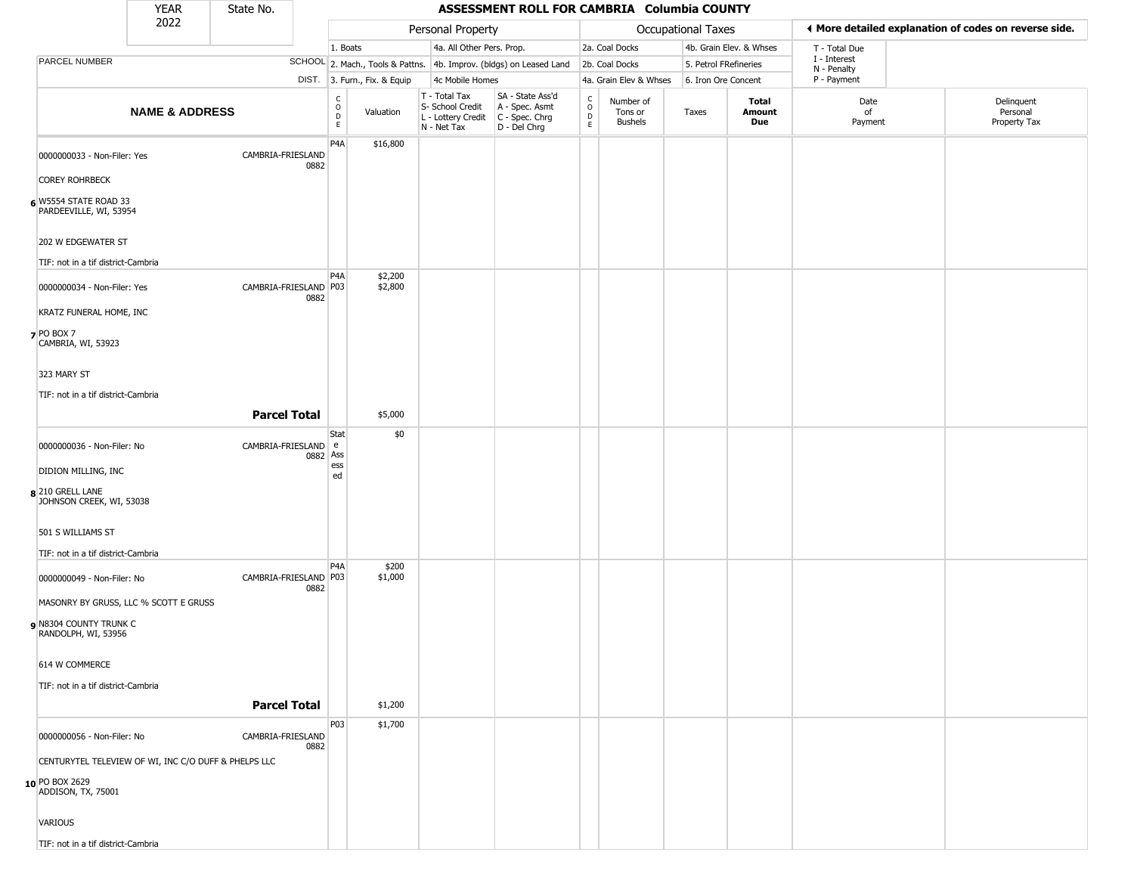|                                                      | <b>YEAR</b>               | State No.             |          | ASSESSMENT ROLL FOR CAMBRIA Columbia COUNTY     |                              |                                                                        |                                                                        |                                      |                                        |                       |                         |                             |                                                       |
|------------------------------------------------------|---------------------------|-----------------------|----------|-------------------------------------------------|------------------------------|------------------------------------------------------------------------|------------------------------------------------------------------------|--------------------------------------|----------------------------------------|-----------------------|-------------------------|-----------------------------|-------------------------------------------------------|
|                                                      | 2022                      |                       |          |                                                 |                              | Personal Property                                                      |                                                                        |                                      |                                        | Occupational Taxes    |                         |                             | ◀ More detailed explanation of codes on reverse side. |
|                                                      |                           |                       |          | 1. Boats                                        |                              | 4a. All Other Pers. Prop.                                              |                                                                        |                                      | 2a. Coal Docks                         |                       | 4b. Grain Elev. & Whses | T - Total Due               |                                                       |
| PARCEL NUMBER                                        |                           |                       |          |                                                 |                              |                                                                        | SCHOOL 2. Mach., Tools & Pattns. 4b. Improv. (bldgs) on Leased Land    |                                      | 2b. Coal Docks                         | 5. Petrol FRefineries |                         | I - Interest<br>N - Penalty |                                                       |
|                                                      |                           |                       |          |                                                 | DIST. 3. Furn., Fix. & Equip | 4c Mobile Homes                                                        |                                                                        |                                      | 4a. Grain Elev & Whses                 | 6. Iron Ore Concent   |                         | P - Payment                 |                                                       |
|                                                      | <b>NAME &amp; ADDRESS</b> |                       |          | $\begin{array}{c} C \\ O \\ D \\ E \end{array}$ | Valuation                    | T - Total Tax<br>S- School Credit<br>L - Lottery Credit<br>N - Net Tax | SA - State Ass'd<br>A - Spec. Asmt<br>$C - Spec. Chrg$<br>D - Del Chrg | $\int_{0}^{c}$<br>$_{\rm E}^{\rm D}$ | Number of<br>Tons or<br><b>Bushels</b> | Taxes                 | Total<br>Amount<br>Due  | Date<br>of<br>Payment       | Delinquent<br>Personal<br>Property Tax                |
| 0000000033 - Non-Filer: Yes<br><b>COREY ROHRBECK</b> |                           | CAMBRIA-FRIESLAND     | 0882     | P4A                                             | \$16,800                     |                                                                        |                                                                        |                                      |                                        |                       |                         |                             |                                                       |
| 6 W5554 STATE ROAD 33<br>PARDEEVILLE, WI, 53954      |                           |                       |          |                                                 |                              |                                                                        |                                                                        |                                      |                                        |                       |                         |                             |                                                       |
| 202 W EDGEWATER ST                                   |                           |                       |          |                                                 |                              |                                                                        |                                                                        |                                      |                                        |                       |                         |                             |                                                       |
| TIF: not in a tif district-Cambria                   |                           |                       |          | P <sub>4</sub> A                                | \$2,200                      |                                                                        |                                                                        |                                      |                                        |                       |                         |                             |                                                       |
| 0000000034 - Non-Filer: Yes                          |                           | CAMBRIA-FRIESLAND P03 | 0882     |                                                 | \$2,800                      |                                                                        |                                                                        |                                      |                                        |                       |                         |                             |                                                       |
| KRATZ FUNERAL HOME, INC                              |                           |                       |          |                                                 |                              |                                                                        |                                                                        |                                      |                                        |                       |                         |                             |                                                       |
| $7$ PO BOX 7<br>CAMBRIA, WI, 53923                   |                           |                       |          |                                                 |                              |                                                                        |                                                                        |                                      |                                        |                       |                         |                             |                                                       |
| 323 MARY ST                                          |                           |                       |          |                                                 |                              |                                                                        |                                                                        |                                      |                                        |                       |                         |                             |                                                       |
| TIF: not in a tif district-Cambria                   |                           |                       |          |                                                 |                              |                                                                        |                                                                        |                                      |                                        |                       |                         |                             |                                                       |
|                                                      |                           | <b>Parcel Total</b>   |          |                                                 | \$5,000                      |                                                                        |                                                                        |                                      |                                        |                       |                         |                             |                                                       |
| 0000000036 - Non-Filer: No                           |                           | CAMBRIA-FRIESLAND e   | 0882 Ass | Stat                                            | \$0                          |                                                                        |                                                                        |                                      |                                        |                       |                         |                             |                                                       |
| DIDION MILLING, INC                                  |                           |                       |          | ess<br>ed                                       |                              |                                                                        |                                                                        |                                      |                                        |                       |                         |                             |                                                       |
| 8 210 GRELL LANE<br>JOHNSON CREEK, WI, 53038         |                           |                       |          |                                                 |                              |                                                                        |                                                                        |                                      |                                        |                       |                         |                             |                                                       |
| 501 S WILLIAMS ST                                    |                           |                       |          |                                                 |                              |                                                                        |                                                                        |                                      |                                        |                       |                         |                             |                                                       |
| TIF: not in a tif district-Cambria                   |                           |                       |          | P <sub>4</sub> A                                | \$200                        |                                                                        |                                                                        |                                      |                                        |                       |                         |                             |                                                       |
| 0000000049 - Non-Filer: No                           |                           | CAMBRIA-FRIESLAND P03 | 0882     |                                                 | \$1,000                      |                                                                        |                                                                        |                                      |                                        |                       |                         |                             |                                                       |
| MASONRY BY GRUSS, LLC % SCOTT E GRUSS                |                           |                       |          |                                                 |                              |                                                                        |                                                                        |                                      |                                        |                       |                         |                             |                                                       |
| N8304 COUNTY TRUNK C<br>RANDOLPH, WI, 53956          |                           |                       |          |                                                 |                              |                                                                        |                                                                        |                                      |                                        |                       |                         |                             |                                                       |
| 614 W COMMERCE                                       |                           |                       |          |                                                 |                              |                                                                        |                                                                        |                                      |                                        |                       |                         |                             |                                                       |
| TIF: not in a tif district-Cambria                   |                           |                       |          |                                                 |                              |                                                                        |                                                                        |                                      |                                        |                       |                         |                             |                                                       |
|                                                      |                           | <b>Parcel Total</b>   |          |                                                 | \$1,200                      |                                                                        |                                                                        |                                      |                                        |                       |                         |                             |                                                       |
| 0000000056 - Non-Filer: No                           |                           | CAMBRIA-FRIESLAND     | 0882     | P03                                             | \$1,700                      |                                                                        |                                                                        |                                      |                                        |                       |                         |                             |                                                       |
| CENTURYTEL TELEVIEW OF WI, INC C/O DUFF & PHELPS LLC |                           |                       |          |                                                 |                              |                                                                        |                                                                        |                                      |                                        |                       |                         |                             |                                                       |
| 10 PO BOX 2629<br>ADDISON, TX, 75001                 |                           |                       |          |                                                 |                              |                                                                        |                                                                        |                                      |                                        |                       |                         |                             |                                                       |
| <b>VARIOUS</b>                                       |                           |                       |          |                                                 |                              |                                                                        |                                                                        |                                      |                                        |                       |                         |                             |                                                       |
| TIF: not in a tif district-Cambria                   |                           |                       |          |                                                 |                              |                                                                        |                                                                        |                                      |                                        |                       |                         |                             |                                                       |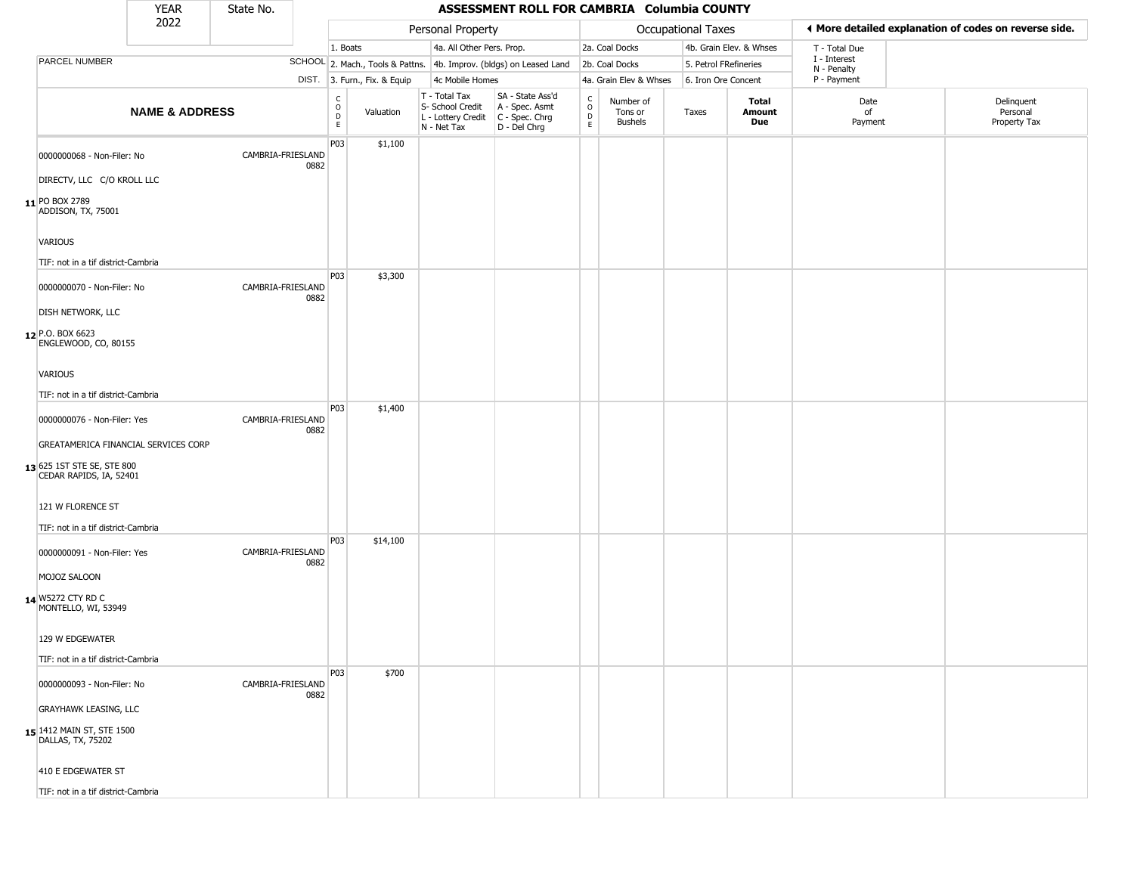|                                                                                                    | <b>YEAR</b>               | State No.         |      |                                                  |                              |                                                                                         | ASSESSMENT ROLL FOR CAMBRIA Columbia COUNTY                         |                                              |                                        |                       |                         |                                                       |  |                                        |
|----------------------------------------------------------------------------------------------------|---------------------------|-------------------|------|--------------------------------------------------|------------------------------|-----------------------------------------------------------------------------------------|---------------------------------------------------------------------|----------------------------------------------|----------------------------------------|-----------------------|-------------------------|-------------------------------------------------------|--|----------------------------------------|
|                                                                                                    | 2022                      |                   |      |                                                  |                              | Personal Property                                                                       |                                                                     |                                              |                                        | Occupational Taxes    |                         | ◀ More detailed explanation of codes on reverse side. |  |                                        |
|                                                                                                    |                           |                   |      | 1. Boats                                         |                              | 4a. All Other Pers. Prop.                                                               |                                                                     |                                              | 2a. Coal Docks                         |                       | 4b. Grain Elev. & Whses | T - Total Due                                         |  |                                        |
| <b>PARCEL NUMBER</b>                                                                               |                           |                   |      |                                                  |                              |                                                                                         | SCHOOL 2. Mach., Tools & Pattns. 4b. Improv. (bldgs) on Leased Land |                                              | 2b. Coal Docks                         | 5. Petrol FRefineries |                         | I - Interest<br>N - Penalty                           |  |                                        |
|                                                                                                    |                           |                   |      |                                                  | DIST. 3. Furn., Fix. & Equip | 4c Mobile Homes                                                                         |                                                                     |                                              | 4a. Grain Elev & Whses                 | 6. Iron Ore Concent   |                         | P - Payment                                           |  |                                        |
|                                                                                                    | <b>NAME &amp; ADDRESS</b> |                   |      | $_{\rm o}^{\rm c}$<br>$\mathsf D$<br>$\mathsf E$ | Valuation                    | T - Total Tax<br>S- School Credit<br>L - Lottery Credit   C - Spec. Chrg<br>N - Net Tax | SA - State Ass'd<br>A - Spec. Asmt<br>D - Del Chrg                  | $\mathsf{C}$<br>$\circ$<br>$\mathsf{D}$<br>E | Number of<br>Tons or<br><b>Bushels</b> | Taxes                 | Total<br>Amount<br>Due  | Date<br>of<br>Payment                                 |  | Delinquent<br>Personal<br>Property Tax |
| 0000000068 - Non-Filer: No<br>DIRECTV, LLC C/O KROLL LLC<br>11 PO BOX 2789<br>ADDISON, TX, 75001   |                           | CAMBRIA-FRIESLAND | 0882 | P03                                              | \$1,100                      |                                                                                         |                                                                     |                                              |                                        |                       |                         |                                                       |  |                                        |
| VARIOUS<br>TIF: not in a tif district-Cambria                                                      |                           |                   |      | P03                                              | \$3,300                      |                                                                                         |                                                                     |                                              |                                        |                       |                         |                                                       |  |                                        |
| 0000000070 - Non-Filer: No<br><b>DISH NETWORK, LLC</b><br>12 P.O. BOX 6623<br>ENGLEWOOD, CO, 80155 |                           | CAMBRIA-FRIESLAND | 0882 |                                                  |                              |                                                                                         |                                                                     |                                              |                                        |                       |                         |                                                       |  |                                        |
| <b>VARIOUS</b><br>TIF: not in a tif district-Cambria                                               |                           |                   |      |                                                  |                              |                                                                                         |                                                                     |                                              |                                        |                       |                         |                                                       |  |                                        |
| 0000000076 - Non-Filer: Yes                                                                        |                           | CAMBRIA-FRIESLAND | 0882 | P03                                              | \$1,400                      |                                                                                         |                                                                     |                                              |                                        |                       |                         |                                                       |  |                                        |
| GREATAMERICA FINANCIAL SERVICES CORP<br>13 625 1ST STE SE, STE 800<br>CEDAR RAPIDS, IA, 52401      |                           |                   |      |                                                  |                              |                                                                                         |                                                                     |                                              |                                        |                       |                         |                                                       |  |                                        |
| 121 W FLORENCE ST<br>TIF: not in a tif district-Cambria                                            |                           |                   |      |                                                  |                              |                                                                                         |                                                                     |                                              |                                        |                       |                         |                                                       |  |                                        |
| 0000000091 - Non-Filer: Yes                                                                        |                           | CAMBRIA-FRIESLAND | 0882 | P03                                              | \$14,100                     |                                                                                         |                                                                     |                                              |                                        |                       |                         |                                                       |  |                                        |
| MOJOZ SALOON<br>14 W5272 CTY RD C<br>MONTELLO, WI, 53949                                           |                           |                   |      |                                                  |                              |                                                                                         |                                                                     |                                              |                                        |                       |                         |                                                       |  |                                        |
| 129 W EDGEWATER<br>TIF: not in a tif district-Cambria                                              |                           |                   |      |                                                  |                              |                                                                                         |                                                                     |                                              |                                        |                       |                         |                                                       |  |                                        |
| 0000000093 - Non-Filer: No                                                                         |                           | CAMBRIA-FRIESLAND | 0882 | P03                                              | \$700                        |                                                                                         |                                                                     |                                              |                                        |                       |                         |                                                       |  |                                        |
| <b>GRAYHAWK LEASING, LLC</b>                                                                       |                           |                   |      |                                                  |                              |                                                                                         |                                                                     |                                              |                                        |                       |                         |                                                       |  |                                        |
| <b>15</b> 1412 MAIN ST, STE 1500<br>DALLAS, TX, 75202                                              |                           |                   |      |                                                  |                              |                                                                                         |                                                                     |                                              |                                        |                       |                         |                                                       |  |                                        |
| 410 E EDGEWATER ST                                                                                 |                           |                   |      |                                                  |                              |                                                                                         |                                                                     |                                              |                                        |                       |                         |                                                       |  |                                        |
| TIF: not in a tif district-Cambria                                                                 |                           |                   |      |                                                  |                              |                                                                                         |                                                                     |                                              |                                        |                       |                         |                                                       |  |                                        |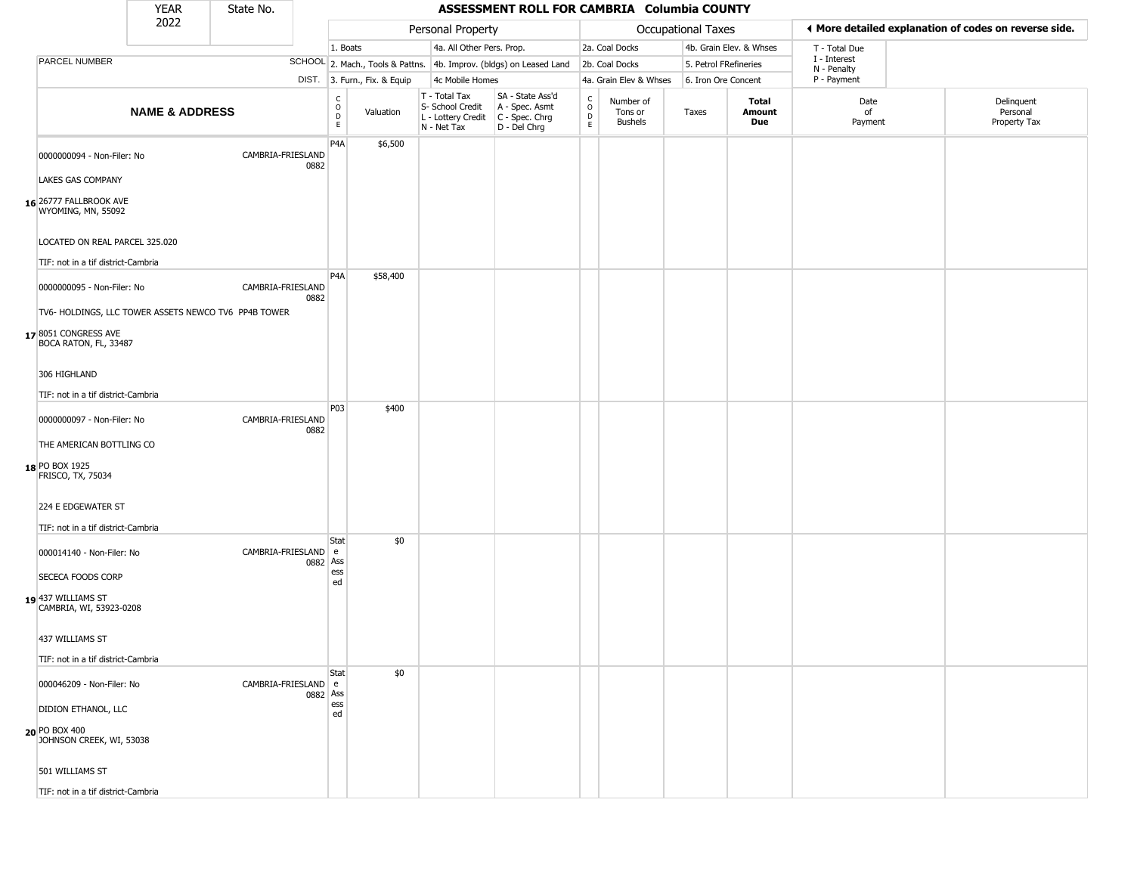|                                                                                    | <b>YEAR</b>               | State No.           |          |                                    |                              |                                                                                         | ASSESSMENT ROLL FOR CAMBRIA Columbia COUNTY                         |                                       |                                        |                       |                         |                             |                                                       |
|------------------------------------------------------------------------------------|---------------------------|---------------------|----------|------------------------------------|------------------------------|-----------------------------------------------------------------------------------------|---------------------------------------------------------------------|---------------------------------------|----------------------------------------|-----------------------|-------------------------|-----------------------------|-------------------------------------------------------|
|                                                                                    | 2022                      |                     |          |                                    |                              | Personal Property                                                                       |                                                                     |                                       |                                        | Occupational Taxes    |                         |                             | ◀ More detailed explanation of codes on reverse side. |
|                                                                                    |                           |                     |          | 1. Boats                           |                              | 4a. All Other Pers. Prop.                                                               |                                                                     |                                       | 2a. Coal Docks                         |                       | 4b. Grain Elev. & Whses | T - Total Due               |                                                       |
| <b>PARCEL NUMBER</b>                                                               |                           |                     |          |                                    |                              |                                                                                         | SCHOOL 2. Mach., Tools & Pattns. 4b. Improv. (bldgs) on Leased Land |                                       | 2b. Coal Docks                         | 5. Petrol FRefineries |                         | I - Interest<br>N - Penalty |                                                       |
|                                                                                    |                           |                     |          |                                    | DIST. 3. Furn., Fix. & Equip | 4c Mobile Homes                                                                         |                                                                     |                                       | 4a. Grain Elev & Whses                 | 6. Iron Ore Concent   |                         | P - Payment                 |                                                       |
|                                                                                    | <b>NAME &amp; ADDRESS</b> |                     |          | $\int_{0}^{c}$<br>D<br>$\mathsf E$ | Valuation                    | T - Total Tax<br>S- School Credit<br>L - Lottery Credit   C - Spec. Chrg<br>N - Net Tax | SA - State Ass'd<br>A - Spec. Asmt<br>D - Del Chrg                  | $\rm\frac{C}{O}$<br>$\mathsf{D}$<br>E | Number of<br>Tons or<br><b>Bushels</b> | Taxes                 | Total<br>Amount<br>Due  | Date<br>of<br>Payment       | Delinquent<br>Personal<br>Property Tax                |
| 0000000094 - Non-Filer: No<br>LAKES GAS COMPANY                                    |                           | CAMBRIA-FRIESLAND   | 0882     | P <sub>4</sub> A                   | \$6,500                      |                                                                                         |                                                                     |                                       |                                        |                       |                         |                             |                                                       |
| 16 26777 FALLBROOK AVE<br>WYOMING, MN, 55092                                       |                           |                     |          |                                    |                              |                                                                                         |                                                                     |                                       |                                        |                       |                         |                             |                                                       |
| LOCATED ON REAL PARCEL 325.020<br>TIF: not in a tif district-Cambria               |                           |                     |          | P <sub>4</sub> A                   | \$58,400                     |                                                                                         |                                                                     |                                       |                                        |                       |                         |                             |                                                       |
| 0000000095 - Non-Filer: No<br>TV6- HOLDINGS, LLC TOWER ASSETS NEWCO TV6 PP4B TOWER |                           | CAMBRIA-FRIESLAND   | 0882     |                                    |                              |                                                                                         |                                                                     |                                       |                                        |                       |                         |                             |                                                       |
| 178051 CONGRESS AVE<br>BOCA RATON, FL, 33487                                       |                           |                     |          |                                    |                              |                                                                                         |                                                                     |                                       |                                        |                       |                         |                             |                                                       |
| 306 HIGHLAND                                                                       |                           |                     |          |                                    |                              |                                                                                         |                                                                     |                                       |                                        |                       |                         |                             |                                                       |
| TIF: not in a tif district-Cambria                                                 |                           |                     |          |                                    |                              |                                                                                         |                                                                     |                                       |                                        |                       |                         |                             |                                                       |
| 0000000097 - Non-Filer: No                                                         |                           | CAMBRIA-FRIESLAND   | 0882     | P03                                | \$400                        |                                                                                         |                                                                     |                                       |                                        |                       |                         |                             |                                                       |
| THE AMERICAN BOTTLING CO<br>18 PO BOX 1925<br>FRISCO, TX, 75034                    |                           |                     |          |                                    |                              |                                                                                         |                                                                     |                                       |                                        |                       |                         |                             |                                                       |
| 224 E EDGEWATER ST<br>TIF: not in a tif district-Cambria                           |                           |                     |          |                                    |                              |                                                                                         |                                                                     |                                       |                                        |                       |                         |                             |                                                       |
| 000014140 - Non-Filer: No                                                          |                           | CAMBRIA-FRIESLAND e | 0882 Ass | Stat<br>ess                        | \$0                          |                                                                                         |                                                                     |                                       |                                        |                       |                         |                             |                                                       |
| SECECA FOODS CORP<br>19 437 WILLIAMS ST<br>CAMBRIA, WI, 53923-0208                 |                           |                     |          | ed                                 |                              |                                                                                         |                                                                     |                                       |                                        |                       |                         |                             |                                                       |
| 437 WILLIAMS ST<br>TIF: not in a tif district-Cambria                              |                           |                     |          |                                    |                              |                                                                                         |                                                                     |                                       |                                        |                       |                         |                             |                                                       |
| 000046209 - Non-Filer: No                                                          |                           | CAMBRIA-FRIESLAND e | 0882 Ass | Stat                               | \$0                          |                                                                                         |                                                                     |                                       |                                        |                       |                         |                             |                                                       |
| DIDION ETHANOL, LLC                                                                |                           |                     |          | ess<br>ed                          |                              |                                                                                         |                                                                     |                                       |                                        |                       |                         |                             |                                                       |
| 20 PO BOX 400<br>JOHNSON CREEK, WI, 53038                                          |                           |                     |          |                                    |                              |                                                                                         |                                                                     |                                       |                                        |                       |                         |                             |                                                       |
| 501 WILLIAMS ST                                                                    |                           |                     |          |                                    |                              |                                                                                         |                                                                     |                                       |                                        |                       |                         |                             |                                                       |
| TIF: not in a tif district-Cambria                                                 |                           |                     |          |                                    |                              |                                                                                         |                                                                     |                                       |                                        |                       |                         |                             |                                                       |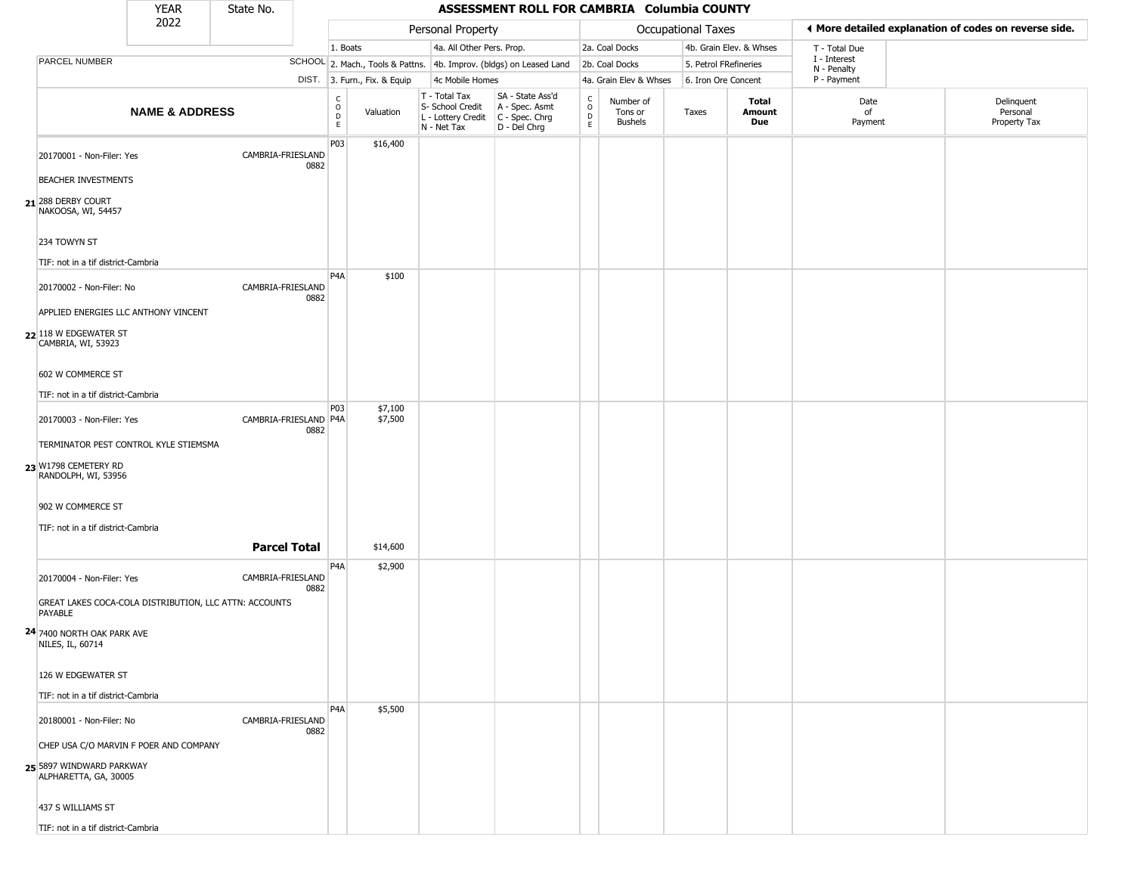|                                                                   | <b>YEAR</b>               | State No.             |      | ASSESSMENT ROLL FOR CAMBRIA Columbia COUNTY     |                              |                                                  |  |                                                                                           |                                     |                                        |                           |                         |                             |                                                       |
|-------------------------------------------------------------------|---------------------------|-----------------------|------|-------------------------------------------------|------------------------------|--------------------------------------------------|--|-------------------------------------------------------------------------------------------|-------------------------------------|----------------------------------------|---------------------------|-------------------------|-----------------------------|-------------------------------------------------------|
|                                                                   | 2022                      |                       |      |                                                 |                              | Personal Property                                |  |                                                                                           |                                     |                                        | <b>Occupational Taxes</b> |                         |                             | ♦ More detailed explanation of codes on reverse side. |
|                                                                   |                           |                       |      | 1. Boats                                        |                              |                                                  |  | 4a. All Other Pers. Prop.                                                                 |                                     | 2a. Coal Docks                         |                           | 4b. Grain Elev. & Whses | T - Total Due               |                                                       |
| PARCEL NUMBER                                                     |                           |                       |      |                                                 |                              |                                                  |  | SCHOOL 2. Mach., Tools & Pattns. 4b. Improv. (bldgs) on Leased Land                       |                                     | 2b. Coal Docks                         | 5. Petrol FRefineries     |                         | I - Interest<br>N - Penalty |                                                       |
|                                                                   |                           |                       |      |                                                 | DIST. 3. Furn., Fix. & Equip | 4c Mobile Homes                                  |  |                                                                                           |                                     | 4a. Grain Elev & Whses                 | 6. Iron Ore Concent       |                         | P - Payment                 |                                                       |
|                                                                   | <b>NAME &amp; ADDRESS</b> |                       |      | $\begin{array}{c} C \\ O \\ D \\ E \end{array}$ | Valuation                    | T - Total Tax<br>S- School Credit<br>N - Net Tax |  | SA - State Ass'd<br>A - Spec. Asmt<br>L - Lottery Credit   C - Spec. Chrg<br>D - Del Chrg | $_{\rm o}^{\rm c}$<br>$\frac{D}{E}$ | Number of<br>Tons or<br><b>Bushels</b> | Taxes                     | Total<br>Amount<br>Due  | Date<br>of<br>Payment       | Delinquent<br>Personal<br>Property Tax                |
| 20170001 - Non-Filer: Yes                                         |                           | CAMBRIA-FRIESLAND     | 0882 | P03                                             | \$16,400                     |                                                  |  |                                                                                           |                                     |                                        |                           |                         |                             |                                                       |
| <b>BEACHER INVESTMENTS</b>                                        |                           |                       |      |                                                 |                              |                                                  |  |                                                                                           |                                     |                                        |                           |                         |                             |                                                       |
| 21 <sup>288</sup> DERBY COURT<br>NAKOOSA, WI, 54457               |                           |                       |      |                                                 |                              |                                                  |  |                                                                                           |                                     |                                        |                           |                         |                             |                                                       |
| 234 TOWYN ST                                                      |                           |                       |      |                                                 |                              |                                                  |  |                                                                                           |                                     |                                        |                           |                         |                             |                                                       |
| TIF: not in a tif district-Cambria                                |                           |                       |      |                                                 |                              |                                                  |  |                                                                                           |                                     |                                        |                           |                         |                             |                                                       |
| 20170002 - Non-Filer: No                                          |                           | CAMBRIA-FRIESLAND     | 0882 | P <sub>4</sub> A                                | \$100                        |                                                  |  |                                                                                           |                                     |                                        |                           |                         |                             |                                                       |
| APPLIED ENERGIES LLC ANTHONY VINCENT                              |                           |                       |      |                                                 |                              |                                                  |  |                                                                                           |                                     |                                        |                           |                         |                             |                                                       |
| 22 118 W EDGEWATER ST<br>CAMBRIA, WI, 53923                       |                           |                       |      |                                                 |                              |                                                  |  |                                                                                           |                                     |                                        |                           |                         |                             |                                                       |
| 602 W COMMERCE ST                                                 |                           |                       |      |                                                 |                              |                                                  |  |                                                                                           |                                     |                                        |                           |                         |                             |                                                       |
| TIF: not in a tif district-Cambria                                |                           |                       |      |                                                 |                              |                                                  |  |                                                                                           |                                     |                                        |                           |                         |                             |                                                       |
| 20170003 - Non-Filer: Yes                                         |                           | CAMBRIA-FRIESLAND P4A |      | <b>P03</b>                                      | \$7,100<br>\$7,500           |                                                  |  |                                                                                           |                                     |                                        |                           |                         |                             |                                                       |
|                                                                   |                           |                       | 0882 |                                                 |                              |                                                  |  |                                                                                           |                                     |                                        |                           |                         |                             |                                                       |
| TERMINATOR PEST CONTROL KYLE STIEMSMA                             |                           |                       |      |                                                 |                              |                                                  |  |                                                                                           |                                     |                                        |                           |                         |                             |                                                       |
| 23 W1798 CEMETERY RD<br>RANDOLPH, WI, 53956                       |                           |                       |      |                                                 |                              |                                                  |  |                                                                                           |                                     |                                        |                           |                         |                             |                                                       |
| 902 W COMMERCE ST                                                 |                           |                       |      |                                                 |                              |                                                  |  |                                                                                           |                                     |                                        |                           |                         |                             |                                                       |
| TIF: not in a tif district-Cambria                                |                           |                       |      |                                                 |                              |                                                  |  |                                                                                           |                                     |                                        |                           |                         |                             |                                                       |
|                                                                   |                           | <b>Parcel Total</b>   |      |                                                 | \$14,600                     |                                                  |  |                                                                                           |                                     |                                        |                           |                         |                             |                                                       |
| 20170004 - Non-Filer: Yes                                         |                           | CAMBRIA-FRIESLAND     | 0882 | P <sub>4</sub> A                                | \$2,900                      |                                                  |  |                                                                                           |                                     |                                        |                           |                         |                             |                                                       |
| GREAT LAKES COCA-COLA DISTRIBUTION, LLC ATTN: ACCOUNTS<br>PAYABLE |                           |                       |      |                                                 |                              |                                                  |  |                                                                                           |                                     |                                        |                           |                         |                             |                                                       |
| 24 7400 NORTH OAK PARK AVE<br>NILES, IL, 60714                    |                           |                       |      |                                                 |                              |                                                  |  |                                                                                           |                                     |                                        |                           |                         |                             |                                                       |
| 126 W EDGEWATER ST                                                |                           |                       |      |                                                 |                              |                                                  |  |                                                                                           |                                     |                                        |                           |                         |                             |                                                       |
| TIF: not in a tif district-Cambria                                |                           |                       |      |                                                 |                              |                                                  |  |                                                                                           |                                     |                                        |                           |                         |                             |                                                       |
| 20180001 - Non-Filer: No                                          |                           | CAMBRIA-FRIESLAND     | 0882 | P <sub>4</sub> A                                | \$5,500                      |                                                  |  |                                                                                           |                                     |                                        |                           |                         |                             |                                                       |
| CHEP USA C/O MARVIN F POER AND COMPANY                            |                           |                       |      |                                                 |                              |                                                  |  |                                                                                           |                                     |                                        |                           |                         |                             |                                                       |
| 25 5897 WINDWARD PARKWAY<br>ALPHARETTA, GA, 30005                 |                           |                       |      |                                                 |                              |                                                  |  |                                                                                           |                                     |                                        |                           |                         |                             |                                                       |
| 437 S WILLIAMS ST                                                 |                           |                       |      |                                                 |                              |                                                  |  |                                                                                           |                                     |                                        |                           |                         |                             |                                                       |
| TIF: not in a tif district-Cambria                                |                           |                       |      |                                                 |                              |                                                  |  |                                                                                           |                                     |                                        |                           |                         |                             |                                                       |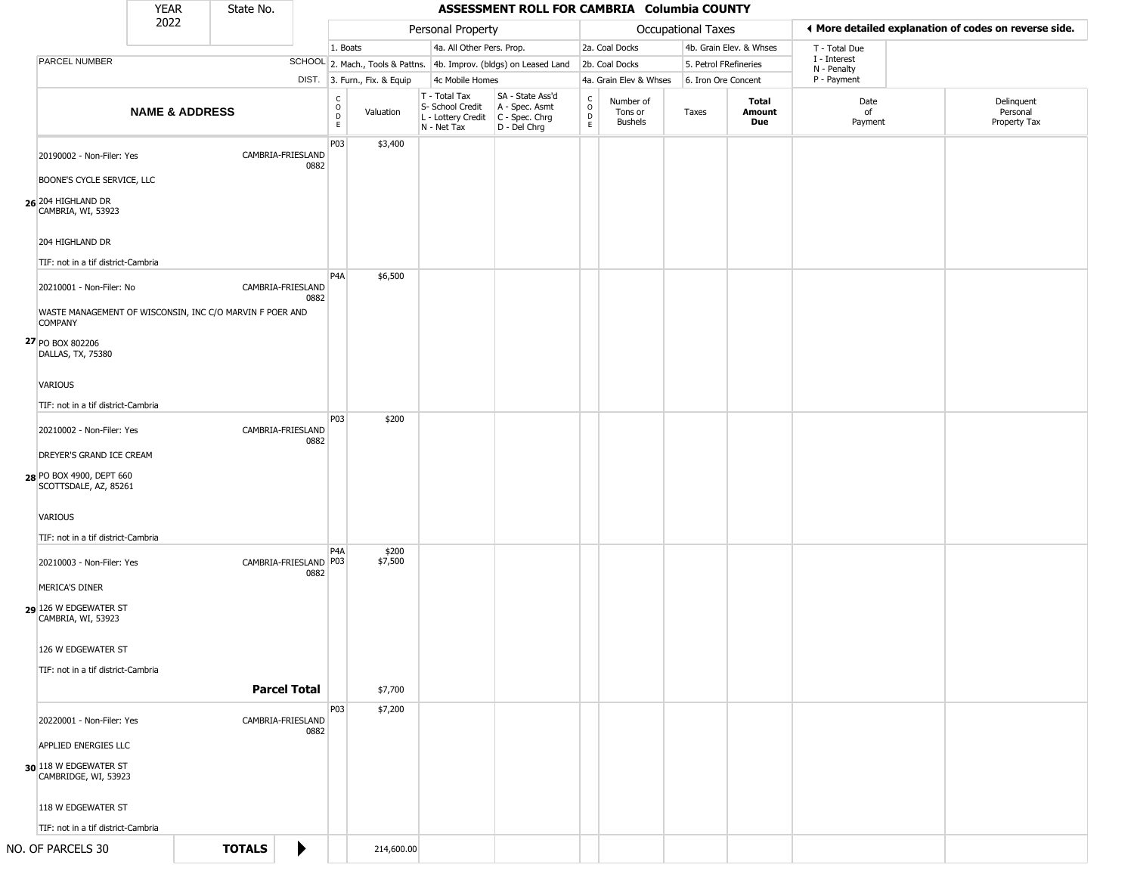|                                                                            | <b>YEAR</b>               | State No.     |                               |                                             |                                                                        | ASSESSMENT ROLL FOR CAMBRIA Columbia COUNTY                          |                               |                                        |                       |                         |                             |  |                                                       |
|----------------------------------------------------------------------------|---------------------------|---------------|-------------------------------|---------------------------------------------|------------------------------------------------------------------------|----------------------------------------------------------------------|-------------------------------|----------------------------------------|-----------------------|-------------------------|-----------------------------|--|-------------------------------------------------------|
|                                                                            | 2022                      |               |                               |                                             | Personal Property                                                      |                                                                      |                               |                                        | Occupational Taxes    |                         |                             |  | ♦ More detailed explanation of codes on reverse side. |
|                                                                            |                           |               |                               | 1. Boats                                    | 4a. All Other Pers. Prop.                                              |                                                                      |                               | 2a. Coal Docks                         |                       | 4b. Grain Elev. & Whses | T - Total Due               |  |                                                       |
| PARCEL NUMBER                                                              |                           |               |                               |                                             |                                                                        | SCHOOL 2. Mach., Tools & Pattns. 4b. Improv. (bldgs) on Leased Land  |                               | 2b. Coal Docks                         | 5. Petrol FRefineries |                         | I - Interest<br>N - Penalty |  |                                                       |
|                                                                            |                           |               |                               | DIST. 3. Furn., Fix. & Equip                | 4c Mobile Homes                                                        |                                                                      |                               | 4a. Grain Elev & Whses                 | 6. Iron Ore Concent   |                         | P - Payment                 |  |                                                       |
|                                                                            | <b>NAME &amp; ADDRESS</b> |               |                               | $\rm _o^C$<br>Valuation<br>$\mathsf D$<br>E | T - Total Tax<br>S- School Credit<br>L - Lottery Credit<br>N - Net Tax | SA - State Ass'd<br>A - Spec. Asmt<br>C - Spec. Chrg<br>D - Del Chrg | $\delta$<br>$\mathsf{D}$<br>E | Number of<br>Tons or<br><b>Bushels</b> | Taxes                 | Total<br>Amount<br>Due  | Date<br>of<br>Payment       |  | Delinquent<br>Personal<br>Property Tax                |
| 20190002 - Non-Filer: Yes<br>BOONE'S CYCLE SERVICE, LLC                    |                           |               | CAMBRIA-FRIESLAND<br>0882     | P03<br>\$3,400                              |                                                                        |                                                                      |                               |                                        |                       |                         |                             |  |                                                       |
| 26 204 HIGHLAND DR<br>CAMBRIA, WI, 53923<br>204 HIGHLAND DR                |                           |               |                               |                                             |                                                                        |                                                                      |                               |                                        |                       |                         |                             |  |                                                       |
| TIF: not in a tif district-Cambria                                         |                           |               |                               |                                             |                                                                        |                                                                      |                               |                                        |                       |                         |                             |  |                                                       |
| 20210001 - Non-Filer: No                                                   |                           |               | CAMBRIA-FRIESLAND<br>0882     | P <sub>4</sub> A<br>\$6,500                 |                                                                        |                                                                      |                               |                                        |                       |                         |                             |  |                                                       |
| WASTE MANAGEMENT OF WISCONSIN, INC C/O MARVIN F POER AND<br><b>COMPANY</b> |                           |               |                               |                                             |                                                                        |                                                                      |                               |                                        |                       |                         |                             |  |                                                       |
| 27 PO BOX 802206<br>DALLAS, TX, 75380                                      |                           |               |                               |                                             |                                                                        |                                                                      |                               |                                        |                       |                         |                             |  |                                                       |
| <b>VARIOUS</b>                                                             |                           |               |                               |                                             |                                                                        |                                                                      |                               |                                        |                       |                         |                             |  |                                                       |
| TIF: not in a tif district-Cambria                                         |                           |               |                               | P03<br>\$200                                |                                                                        |                                                                      |                               |                                        |                       |                         |                             |  |                                                       |
| 20210002 - Non-Filer: Yes<br>DREYER'S GRAND ICE CREAM                      |                           |               | CAMBRIA-FRIESLAND<br>0882     |                                             |                                                                        |                                                                      |                               |                                        |                       |                         |                             |  |                                                       |
| 28 PO BOX 4900, DEPT 660<br>SCOTTSDALE, AZ, 85261                          |                           |               |                               |                                             |                                                                        |                                                                      |                               |                                        |                       |                         |                             |  |                                                       |
| VARIOUS                                                                    |                           |               |                               |                                             |                                                                        |                                                                      |                               |                                        |                       |                         |                             |  |                                                       |
| TIF: not in a tif district-Cambria                                         |                           |               |                               |                                             |                                                                        |                                                                      |                               |                                        |                       |                         |                             |  |                                                       |
| 20210003 - Non-Filer: Yes                                                  |                           |               | CAMBRIA-FRIESLAND P03<br>0882 | \$200<br>P <sub>4</sub> A<br>\$7,500        |                                                                        |                                                                      |                               |                                        |                       |                         |                             |  |                                                       |
| MERICA'S DINER                                                             |                           |               |                               |                                             |                                                                        |                                                                      |                               |                                        |                       |                         |                             |  |                                                       |
| 29 126 W EDGEWATER ST<br>CAMBRIA, WI, 53923                                |                           |               |                               |                                             |                                                                        |                                                                      |                               |                                        |                       |                         |                             |  |                                                       |
| 126 W EDGEWATER ST                                                         |                           |               |                               |                                             |                                                                        |                                                                      |                               |                                        |                       |                         |                             |  |                                                       |
| TIF: not in a tif district-Cambria                                         |                           |               | <b>Parcel Total</b>           | \$7,700                                     |                                                                        |                                                                      |                               |                                        |                       |                         |                             |  |                                                       |
|                                                                            |                           |               |                               | P03<br>\$7,200                              |                                                                        |                                                                      |                               |                                        |                       |                         |                             |  |                                                       |
| 20220001 - Non-Filer: Yes                                                  |                           |               | CAMBRIA-FRIESLAND<br>0882     |                                             |                                                                        |                                                                      |                               |                                        |                       |                         |                             |  |                                                       |
| APPLIED ENERGIES LLC                                                       |                           |               |                               |                                             |                                                                        |                                                                      |                               |                                        |                       |                         |                             |  |                                                       |
| 30 118 W EDGEWATER ST<br>CAMBRIDGE, WI, 53923                              |                           |               |                               |                                             |                                                                        |                                                                      |                               |                                        |                       |                         |                             |  |                                                       |
| 118 W EDGEWATER ST                                                         |                           |               |                               |                                             |                                                                        |                                                                      |                               |                                        |                       |                         |                             |  |                                                       |
| TIF: not in a tif district-Cambria                                         |                           |               |                               |                                             |                                                                        |                                                                      |                               |                                        |                       |                         |                             |  |                                                       |
| NO. OF PARCELS 30                                                          |                           | <b>TOTALS</b> | ₽                             | 214,600.00                                  |                                                                        |                                                                      |                               |                                        |                       |                         |                             |  |                                                       |